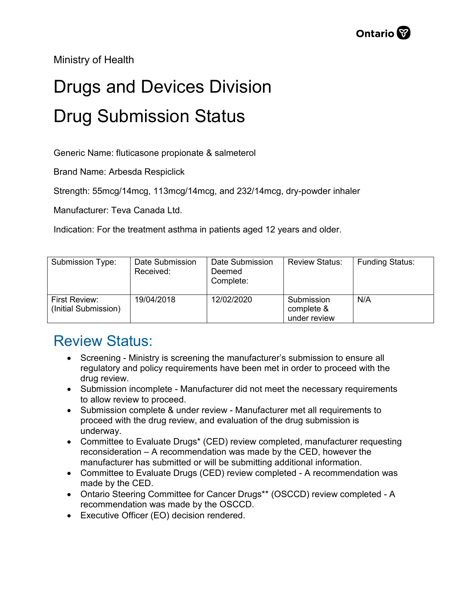Ministry of Health

## Drugs and Devices Division Drug Submission Status

Generic Name: fluticasone propionate & salmeterol

Brand Name: Arbesda Respiclick

Strength: 55mcg/14mcg, 113mcg/14mcg, and 232/14mcg, dry-powder inhaler

Manufacturer: Teva Canada Ltd.

Indication: For the treatment asthma in patients aged 12 years and older.

| Submission Type:                      | Date Submission<br>Received: | Date Submission<br>Deemed<br>Complete: | <b>Review Status:</b>                    | <b>Funding Status:</b> |
|---------------------------------------|------------------------------|----------------------------------------|------------------------------------------|------------------------|
| First Review:<br>(Initial Submission) | 19/04/2018                   | 12/02/2020                             | Submission<br>complete &<br>under review | N/A                    |

## Review Status:

- Screening Ministry is screening the manufacturer's submission to ensure all regulatory and policy requirements have been met in order to proceed with the drug review.
- Submission incomplete Manufacturer did not meet the necessary requirements to allow review to proceed.
- Submission complete & under review Manufacturer met all requirements to proceed with the drug review, and evaluation of the drug submission is underway.
- Committee to Evaluate Drugs\* (CED) review completed, manufacturer requesting reconsideration – A recommendation was made by the CED, however the manufacturer has submitted or will be submitting additional information.
- Committee to Evaluate Drugs (CED) review completed A recommendation was made by the CED.
- Ontario Steering Committee for Cancer Drugs\*\* (OSCCD) review completed A recommendation was made by the OSCCD.
- Executive Officer (EO) decision rendered.